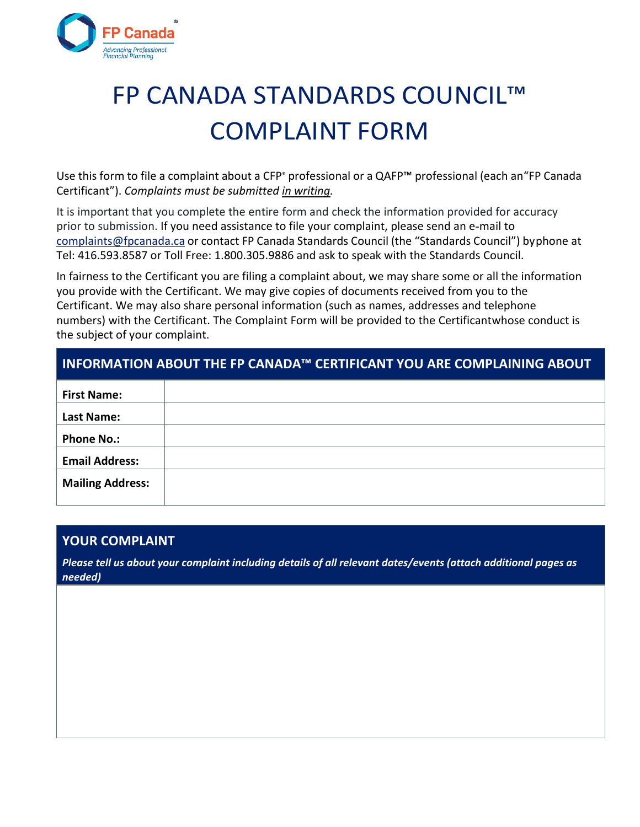

# FP CANADA STANDARDS COUNCIL™ COMPLAINT FORM

Use this form to file a complaint about a CFP<sup>®</sup> professional or a QAFP<sup>™</sup> professional (each an "FP Canada Certificant"). *Complaints must be submitted in writing.* 

It is important that you complete the entire form and check the information provided for accuracy prior to submission. If you need assistance to file your complaint, please send an e‐mail to [complaints@fpcanada.ca o](mailto:complaints@fpcanada.ca)r contact FP Canada Standards Council (the "Standards Council") by phone at Tel: 416.593.8587 or Toll Free: 1.800.305.9886 and ask to speak with the Standards Council.

In fairness to the Certificant you are filing a complaint about, we may share some or all the information you provide with the Certificant. We may give copies of documents received from you to the Certificant. We may also share personal information (such as names, addresses and telephone numbers) with the Certificant. The Complaint Form will be provided to the Certificant whose conduct is the subject of your complaint.

#### **INFORMATION ABOUT THE FP CANADA™ CERTIFICANT YOU ARE COMPLAINING ABOUT**

| <b>First Name:</b>      |  |
|-------------------------|--|
|                         |  |
|                         |  |
| <b>Last Name:</b>       |  |
|                         |  |
|                         |  |
| <b>Phone No.:</b>       |  |
|                         |  |
|                         |  |
| <b>Email Address:</b>   |  |
|                         |  |
|                         |  |
| <b>Mailing Address:</b> |  |
|                         |  |
|                         |  |

#### **YOUR COMPLAINT**

*Please tell us about your complaint including details of all relevant dates/events (attach additional pages as needed)*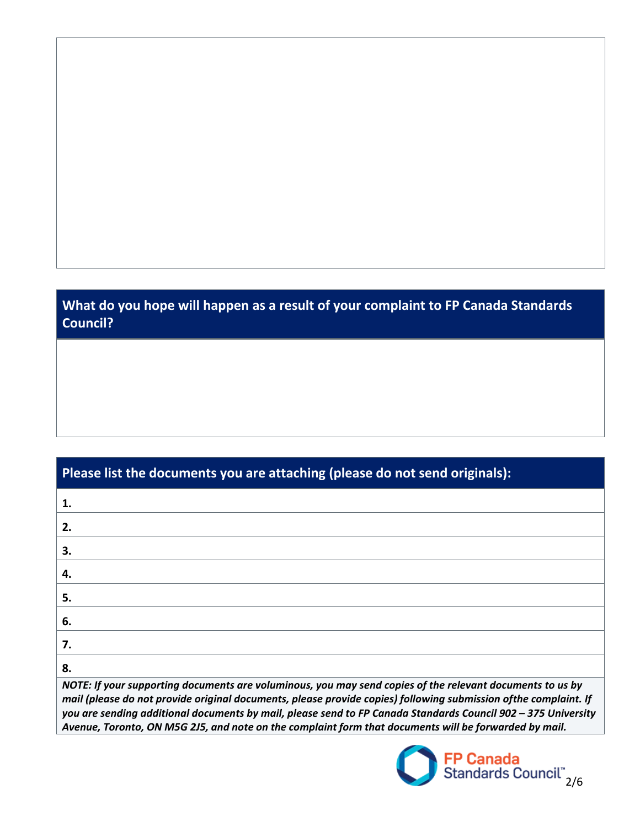## **What do you hope will happen as a result of your complaint to FP Canada Standards Council?**

| Please list the documents you are attaching (please do not send originals):                                                                                                                                                                                                                                                                                                                                                                             |  |  |
|---------------------------------------------------------------------------------------------------------------------------------------------------------------------------------------------------------------------------------------------------------------------------------------------------------------------------------------------------------------------------------------------------------------------------------------------------------|--|--|
| 1.                                                                                                                                                                                                                                                                                                                                                                                                                                                      |  |  |
| 2.                                                                                                                                                                                                                                                                                                                                                                                                                                                      |  |  |
| 3.                                                                                                                                                                                                                                                                                                                                                                                                                                                      |  |  |
| 4.                                                                                                                                                                                                                                                                                                                                                                                                                                                      |  |  |
| 5.                                                                                                                                                                                                                                                                                                                                                                                                                                                      |  |  |
| 6.                                                                                                                                                                                                                                                                                                                                                                                                                                                      |  |  |
| 7.                                                                                                                                                                                                                                                                                                                                                                                                                                                      |  |  |
| 8.                                                                                                                                                                                                                                                                                                                                                                                                                                                      |  |  |
| NOTE: If your supporting documents are voluminous, you may send copies of the relevant documents to us by<br>mail (please do not provide original documents, please provide copies) following submission of the complaint. If<br>you are sending additional documents by mail, please send to FP Canada Standards Council 902 - 375 University<br>Avenue, Toronto, ON M5G 2J5, and note on the complaint form that documents will be forwarded by mail. |  |  |

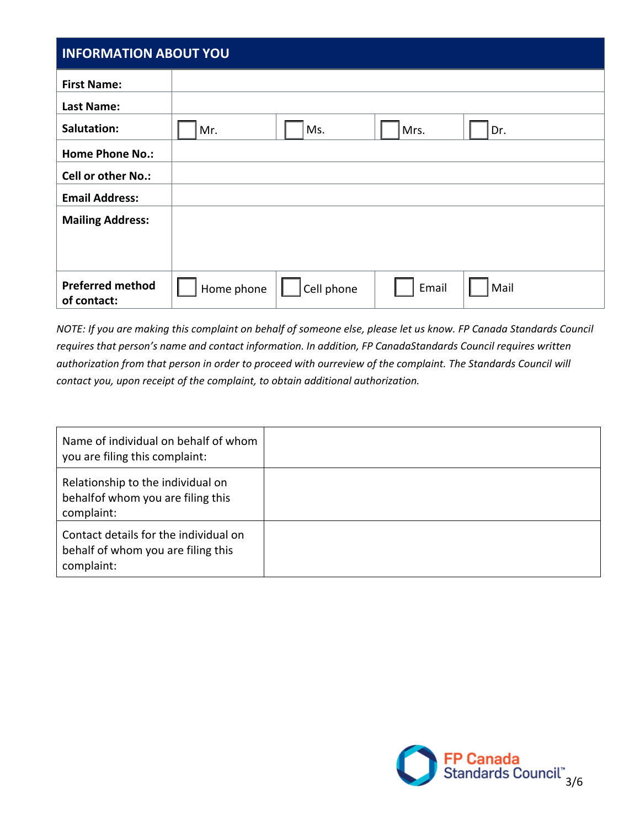### **INFORMATION ABOUT YOU**

| <b>INFURIVIATIUN ADUUT TUU</b>         |                                           |  |  |
|----------------------------------------|-------------------------------------------|--|--|
| <b>First Name:</b>                     |                                           |  |  |
| <b>Last Name:</b>                      |                                           |  |  |
| Salutation:                            | Ms.<br>Mr.<br>Mrs.<br>Dr.                 |  |  |
| <b>Home Phone No.:</b>                 |                                           |  |  |
| <b>Cell or other No.:</b>              |                                           |  |  |
| <b>Email Address:</b>                  |                                           |  |  |
| <b>Mailing Address:</b>                |                                           |  |  |
|                                        |                                           |  |  |
|                                        |                                           |  |  |
| <b>Preferred method</b><br>of contact: | Email<br>Mail<br>Home phone<br>Cell phone |  |  |

*NOTE: If you are making this complaint on behalf of someone else, please let us know. FP Canada Standards Council requires that person's name and contact information. In addition, FP Canada Standards Council requires written authorization from that person in order to proceed with ourreview of the complaint. The Standards Council will contact you, upon receipt of the complaint, to obtain additional authorization.* 

| Name of individual on behalf of whom<br>you are filing this complaint:                    |  |
|-------------------------------------------------------------------------------------------|--|
| Relationship to the individual on<br>behalfof whom you are filing this<br>complaint:      |  |
| Contact details for the individual on<br>behalf of whom you are filing this<br>complaint: |  |

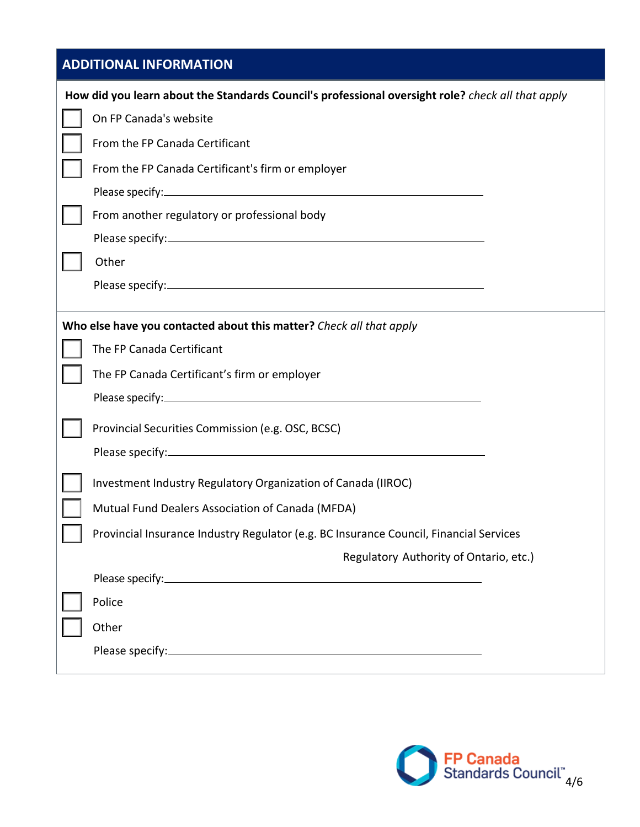| <b>ADDITIONAL INFORMATION</b> |                                                                                                                                                                                                                                |  |  |  |
|-------------------------------|--------------------------------------------------------------------------------------------------------------------------------------------------------------------------------------------------------------------------------|--|--|--|
|                               | How did you learn about the Standards Council's professional oversight role? check all that apply                                                                                                                              |  |  |  |
|                               | On FP Canada's website                                                                                                                                                                                                         |  |  |  |
|                               | From the FP Canada Certificant                                                                                                                                                                                                 |  |  |  |
|                               | From the FP Canada Certificant's firm or employer                                                                                                                                                                              |  |  |  |
|                               |                                                                                                                                                                                                                                |  |  |  |
|                               | From another regulatory or professional body                                                                                                                                                                                   |  |  |  |
|                               |                                                                                                                                                                                                                                |  |  |  |
|                               | Other                                                                                                                                                                                                                          |  |  |  |
|                               |                                                                                                                                                                                                                                |  |  |  |
|                               | Who else have you contacted about this matter? Check all that apply                                                                                                                                                            |  |  |  |
|                               | The FP Canada Certificant                                                                                                                                                                                                      |  |  |  |
|                               | The FP Canada Certificant's firm or employer                                                                                                                                                                                   |  |  |  |
|                               |                                                                                                                                                                                                                                |  |  |  |
|                               | Provincial Securities Commission (e.g. OSC, BCSC)                                                                                                                                                                              |  |  |  |
|                               |                                                                                                                                                                                                                                |  |  |  |
|                               | Investment Industry Regulatory Organization of Canada (IIROC)                                                                                                                                                                  |  |  |  |
|                               | Mutual Fund Dealers Association of Canada (MFDA)                                                                                                                                                                               |  |  |  |
|                               | Provincial Insurance Industry Regulator (e.g. BC Insurance Council, Financial Services                                                                                                                                         |  |  |  |
|                               | Regulatory Authority of Ontario, etc.)                                                                                                                                                                                         |  |  |  |
|                               |                                                                                                                                                                                                                                |  |  |  |
|                               | Police                                                                                                                                                                                                                         |  |  |  |
|                               | Other                                                                                                                                                                                                                          |  |  |  |
|                               | Please specify: Note and the set of the set of the set of the set of the set of the set of the set of the set of the set of the set of the set of the set of the set of the set of the set of the set of the set of the set of |  |  |  |

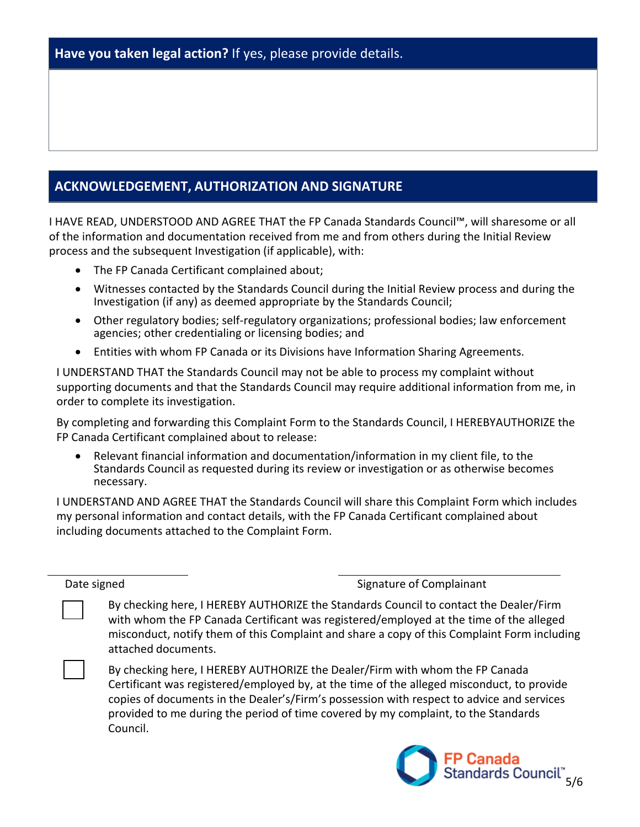#### **ACKNOWLEDGEMENT, AUTHORIZATION AND SIGNATURE**

I HAVE READ, UNDERSTOOD AND AGREE THAT the FP Canada Standards Council™, will sharesome or all of the information and documentation received from me and from others during the Initial Review process and the subsequent Investigation (if applicable), with:

- The FP Canada Certificant complained about;
- Witnesses contacted by the Standards Council during the Initial Review process and during the Investigation (if any) as deemed appropriate by the Standards Council;
- Other regulatory bodies; self-regulatory organizations; professional bodies; law enforcement agencies; other credentialing or licensing bodies; and
- Entities with whom FP Canada or its Divisions have Information Sharing Agreements.

I UNDERSTAND THAT the Standards Council may not be able to process my complaint without supporting documents and that the Standards Council may require additional information from me, in order to complete its investigation.

By completing and forwarding this Complaint Form to the Standards Council, I HEREBYAUTHORIZE the FP Canada Certificant complained about to release:

• Relevant financial information and documentation/information in my client file, to the Standards Council as requested during its review or investigation or as otherwise becomes necessary.

I UNDERSTAND AND AGREE THAT the Standards Council will share this Complaint Form which includes my personal information and contact details, with the FP Canada Certificant complained about including documents attached to the Complaint Form.

Date signed Signature of Complainant

By checking here, I HEREBY AUTHORIZE the Standards Council to contact the Dealer/Firm with whom the FP Canada Certificant was registered/employed at the time of the alleged misconduct, notify them of this Complaint and share a copy of this Complaint Form including attached documents.

By checking here, I HEREBY AUTHORIZE the Dealer/Firm with whom the FP Canada Certificant was registered/employed by, at the time of the alleged misconduct, to provide copies of documents in the Dealer's/Firm's possession with respect to advice and services provided to me during the period of time covered by my complaint, to the Standards Council.